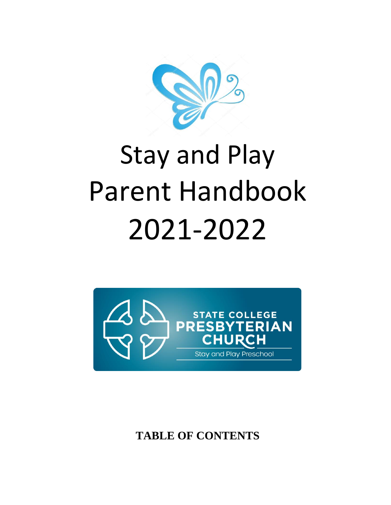

# Stay and Play Parent Handbook 2021-2022



**TABLE OF CONTENTS**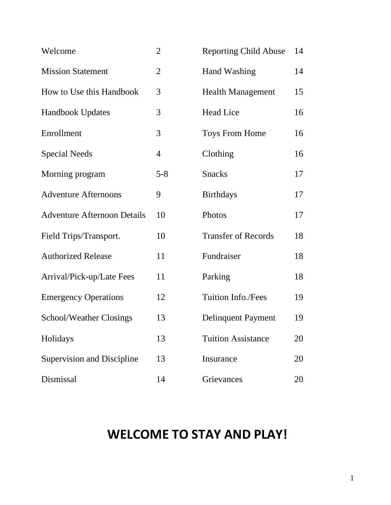| Welcome                            | $\overline{2}$ | <b>Reporting Child Abuse</b> | 14 |
|------------------------------------|----------------|------------------------------|----|
| <b>Mission Statement</b>           | $\overline{2}$ | <b>Hand Washing</b>          | 14 |
| How to Use this Handbook           | 3              | <b>Health Management</b>     | 15 |
| Handbook Updates                   | 3              | <b>Head Lice</b>             | 16 |
| Enrollment                         | 3              | <b>Toys From Home</b>        | 16 |
| <b>Special Needs</b>               | $\overline{4}$ | Clothing                     | 16 |
| Morning program                    | $5 - 8$        | <b>Snacks</b>                | 17 |
| <b>Adventure Afternoons</b>        | 9              | <b>Birthdays</b>             | 17 |
| <b>Adventure Afternoon Details</b> | 10             | Photos                       | 17 |
| Field Trips/Transport.             | 10             | <b>Transfer of Records</b>   | 18 |
| <b>Authorized Release</b>          | 11             | Fundraiser                   | 18 |
| Arrival/Pick-up/Late Fees          | 11             | Parking                      | 18 |
| <b>Emergency Operations</b>        | 12             | <b>Tuition Info./Fees</b>    | 19 |
| <b>School/Weather Closings</b>     | 13             | <b>Delinquent Payment</b>    | 19 |
| Holidays                           | 13             | <b>Tuition Assistance</b>    | 20 |
| <b>Supervision and Discipline</b>  | 13             | Insurance                    | 20 |
| Dismissal                          | 14             | Grievances                   | 20 |

# **WELCOME TO STAY AND PLAY!**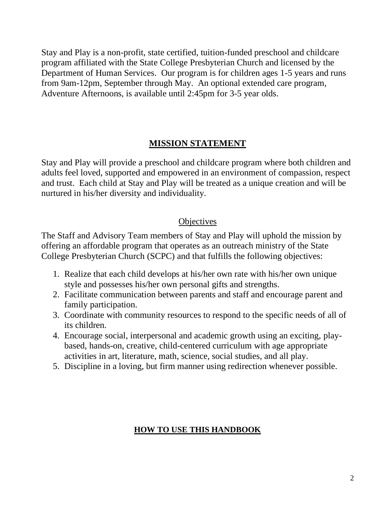Stay and Play is a non-profit, state certified, tuition-funded preschool and childcare program affiliated with the State College Presbyterian Church and licensed by the Department of Human Services. Our program is for children ages 1-5 years and runs from 9am-12pm, September through May. An optional extended care program, Adventure Afternoons, is available until 2:45pm for 3-5 year olds.

## **MISSION STATEMENT**

Stay and Play will provide a preschool and childcare program where both children and adults feel loved, supported and empowered in an environment of compassion, respect and trust. Each child at Stay and Play will be treated as a unique creation and will be nurtured in his/her diversity and individuality.

#### **Objectives**

The Staff and Advisory Team members of Stay and Play will uphold the mission by offering an affordable program that operates as an outreach ministry of the State College Presbyterian Church (SCPC) and that fulfills the following objectives:

- 1. Realize that each child develops at his/her own rate with his/her own unique style and possesses his/her own personal gifts and strengths.
- 2. Facilitate communication between parents and staff and encourage parent and family participation.
- 3. Coordinate with community resources to respond to the specific needs of all of its children.
- 4. Encourage social, interpersonal and academic growth using an exciting, playbased, hands-on, creative, child-centered curriculum with age appropriate activities in art, literature, math, science, social studies, and all play.
- 5. Discipline in a loving, but firm manner using redirection whenever possible.

## **HOW TO USE THIS HANDBOOK**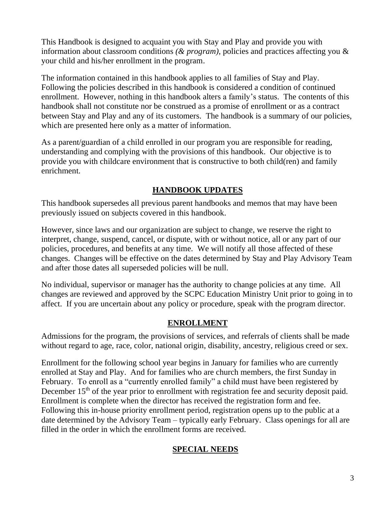This Handbook is designed to acquaint you with Stay and Play and provide you with information about classroom conditions *(& program),* policies and practices affecting you & your child and his/her enrollment in the program.

The information contained in this handbook applies to all families of Stay and Play. Following the policies described in this handbook is considered a condition of continued enrollment. However, nothing in this handbook alters a family's status. The contents of this handbook shall not constitute nor be construed as a promise of enrollment or as a contract between Stay and Play and any of its customers. The handbook is a summary of our policies, which are presented here only as a matter of information.

As a parent/guardian of a child enrolled in our program you are responsible for reading, understanding and complying with the provisions of this handbook. Our objective is to provide you with childcare environment that is constructive to both child(ren) and family enrichment.

#### **HANDBOOK UPDATES**

This handbook supersedes all previous parent handbooks and memos that may have been previously issued on subjects covered in this handbook.

However, since laws and our organization are subject to change, we reserve the right to interpret, change, suspend, cancel, or dispute, with or without notice, all or any part of our policies, procedures, and benefits at any time. We will notify all those affected of these changes. Changes will be effective on the dates determined by Stay and Play Advisory Team and after those dates all superseded policies will be null.

No individual, supervisor or manager has the authority to change policies at any time. All changes are reviewed and approved by the SCPC Education Ministry Unit prior to going in to affect. If you are uncertain about any policy or procedure, speak with the program director.

#### **ENROLLMENT**

Admissions for the program, the provisions of services, and referrals of clients shall be made without regard to age, race, color, national origin, disability, ancestry, religious creed or sex.

Enrollment for the following school year begins in January for families who are currently enrolled at Stay and Play. And for families who are church members, the first Sunday in February. To enroll as a "currently enrolled family" a child must have been registered by December 15<sup>th</sup> of the year prior to enrollment with registration fee and security deposit paid. Enrollment is complete when the director has received the registration form and fee. Following this in-house priority enrollment period, registration opens up to the public at a date determined by the Advisory Team – typically early February. Class openings for all are filled in the order in which the enrollment forms are received.

#### **SPECIAL NEEDS**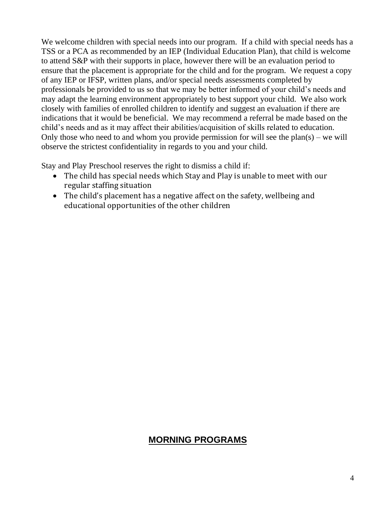We welcome children with special needs into our program. If a child with special needs has a TSS or a PCA as recommended by an IEP (Individual Education Plan), that child is welcome to attend S&P with their supports in place, however there will be an evaluation period to ensure that the placement is appropriate for the child and for the program. We request a copy of any IEP or IFSP, written plans, and/or special needs assessments completed by professionals be provided to us so that we may be better informed of your child's needs and may adapt the learning environment appropriately to best support your child. We also work closely with families of enrolled children to identify and suggest an evaluation if there are indications that it would be beneficial. We may recommend a referral be made based on the child's needs and as it may affect their abilities/acquisition of skills related to education. Only those who need to and whom you provide permission for will see the plan(s) – we will observe the strictest confidentiality in regards to you and your child.

Stay and Play Preschool reserves the right to dismiss a child if:

- The child has special needs which Stay and Play is unable to meet with our regular staffing situation
- The child's placement has a negative affect on the safety, wellbeing and educational opportunities of the other children

## **MORNING PROGRAMS**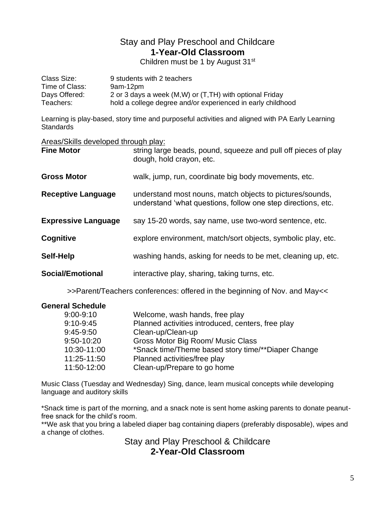## Stay and Play Preschool and Childcare **1-Year-Old Classroom**

Children must be 1 by August 31st

| Class Size:    | 9 students with 2 teachers                                  |
|----------------|-------------------------------------------------------------|
| Time of Class: | 9am-12pm                                                    |
| Days Offered:  | 2 or 3 days a week (M,W) or (T,TH) with optional Friday     |
| Teachers:      | hold a college degree and/or experienced in early childhood |

Learning is play-based, story time and purposeful activities and aligned with PA Early Learning **Standards** 

#### Areas/Skills developed through play:

| <b>Fine Motor</b>          | string large beads, pound, squeeze and pull off pieces of play<br>dough, hold crayon, etc.                               |
|----------------------------|--------------------------------------------------------------------------------------------------------------------------|
| <b>Gross Motor</b>         | walk, jump, run, coordinate big body movements, etc.                                                                     |
| <b>Receptive Language</b>  | understand most nouns, match objects to pictures/sounds,<br>understand 'what questions, follow one step directions, etc. |
| <b>Expressive Language</b> | say 15-20 words, say name, use two-word sentence, etc.                                                                   |
| Cognitive                  | explore environment, match/sort objects, symbolic play, etc.                                                             |
| Self-Help                  | washing hands, asking for needs to be met, cleaning up, etc.                                                             |
| <b>Social/Emotional</b>    | interactive play, sharing, taking turns, etc.                                                                            |

>>Parent/Teachers conferences: offered in the beginning of Nov. and May<<

| <b>General Schedule</b> |                                                    |
|-------------------------|----------------------------------------------------|
| $9:00 - 9:10$           | Welcome, wash hands, free play                     |
| $9:10-9:45$             | Planned activities introduced, centers, free play  |
| $9:45-9:50$             | Clean-up/Clean-up                                  |
| 9:50-10:20              | Gross Motor Big Room/ Music Class                  |
| 10:30-11:00             | *Snack time/Theme based story time/**Diaper Change |
| 11:25-11:50             | Planned activities/free play                       |
| 11:50-12:00             | Clean-up/Prepare to go home                        |

Music Class (Tuesday and Wednesday) Sing, dance, learn musical concepts while developing language and auditory skills

\*Snack time is part of the morning, and a snack note is sent home asking parents to donate peanutfree snack for the child's room.

\*\*We ask that you bring a labeled diaper bag containing diapers (preferably disposable), wipes and a change of clothes.

Stay and Play Preschool & Childcare **2-Year-Old Classroom**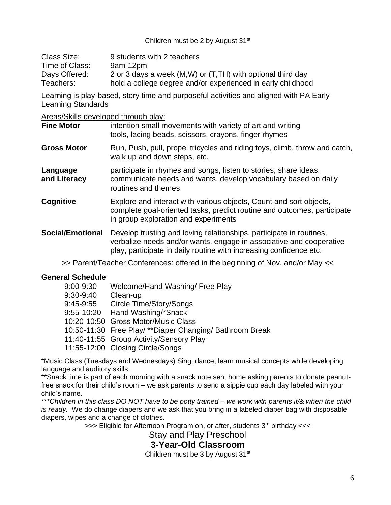Children must be 2 by August 31<sup>st</sup>

| Class Size:    | 9 students with 2 teachers                                  |
|----------------|-------------------------------------------------------------|
| Time of Class: | 9am-12pm                                                    |
| Days Offered:  | 2 or 3 days a week (M,W) or (T,TH) with optional third day  |
| Teachers:      | hold a college degree and/or experienced in early childhood |

Learning is play-based, story time and purposeful activities and aligned with PA Early Learning Standards

Areas/Skills developed through play:

| <b>Fine Motor</b>        | intention small movements with variety of art and writing<br>tools, lacing beads, scissors, crayons, finger rhymes                                                                                               |
|--------------------------|------------------------------------------------------------------------------------------------------------------------------------------------------------------------------------------------------------------|
| <b>Gross Motor</b>       | Run, Push, pull, propel tricycles and riding toys, climb, throw and catch,<br>walk up and down steps, etc.                                                                                                       |
| Language<br>and Literacy | participate in rhymes and songs, listen to stories, share ideas,<br>communicate needs and wants, develop vocabulary based on daily<br>routines and themes                                                        |
| Cognitive                | Explore and interact with various objects, Count and sort objects,<br>complete goal-oriented tasks, predict routine and outcomes, participate<br>in group exploration and experiments                            |
| <b>Social/Emotional</b>  | Develop trusting and loving relationships, participate in routines,<br>verbalize needs and/or wants, engage in associative and cooperative<br>play, participate in daily routine with increasing confidence etc. |
|                          | $\sim$ Parent/Teacher Conferences: offered in the beginning of Nov and/or May $\sim$                                                                                                                             |

#### >> Parent/Teacher Conferences: offered in the beginning of Nov. and/or May <<

#### **General Schedule**

| 9:00-9:30 | Welcome/Hand Washing/ Free Play                          |
|-----------|----------------------------------------------------------|
| 9:30-9:40 | Clean-up                                                 |
| 9:45-9:55 | Circle Time/Story/Songs                                  |
|           | 9:55-10:20 Hand Washing/*Snack                           |
|           | 10:20-10:50 Gross Motor/Music Class                      |
|           | 10:50-11:30 Free Play/ **Diaper Changing/ Bathroom Break |
|           | 11:40-11:55 Group Activity/Sensory Play                  |
|           | 11:55-12:00 Closing Circle/Songs                         |

\*Music Class (Tuesdays and Wednesdays) Sing, dance, learn musical concepts while developing language and auditory skills.

\*\*Snack time is part of each morning with a snack note sent home asking parents to donate peanutfree snack for their child's room – we ask parents to send a sippie cup each day labeled with your child's name.

*\*\*\*Children in this class DO NOT have to be potty trained – we work with parents if/& when the child is ready.* We do change diapers and we ask that you bring in a labeled diaper bag with disposable diapers, wipes and a change of clothes.

>>> Eligible for Afternoon Program on, or after, students 3<sup>rd</sup> birthday <<<

Stay and Play Preschool

## **3-Year-Old Classroom**

Children must be 3 by August 31<sup>st</sup>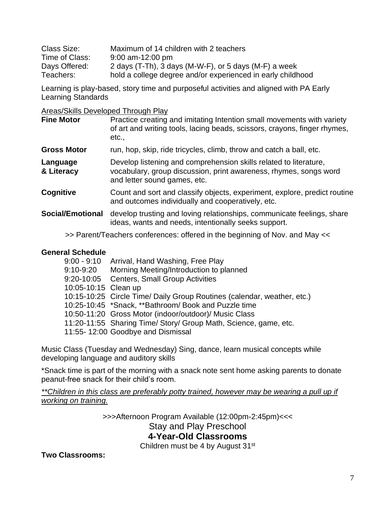| Class Size:    | Maximum of 14 children with 2 teachers                      |
|----------------|-------------------------------------------------------------|
| Time of Class: | $9:00$ am-12:00 pm                                          |
| Days Offered:  | 2 days (T-Th), 3 days (M-W-F), or 5 days (M-F) a week       |
| Teachers:      | hold a college degree and/or experienced in early childhood |

Learning is play-based, story time and purposeful activities and aligned with PA Early Learning Standards

Areas/Skills Developed Through Play

| <b>Fine Motor</b>       | Practice creating and imitating Intention small movements with variety<br>of art and writing tools, lacing beads, scissors, crayons, finger rhymes,<br>etc.,           |
|-------------------------|------------------------------------------------------------------------------------------------------------------------------------------------------------------------|
| <b>Gross Motor</b>      | run, hop, skip, ride tricycles, climb, throw and catch a ball, etc.                                                                                                    |
| Language<br>& Literacy  | Develop listening and comprehension skills related to literature,<br>vocabulary, group discussion, print awareness, rhymes, songs word<br>and letter sound games, etc. |
| Cognitive               | Count and sort and classify objects, experiment, explore, predict routine<br>and outcomes individually and cooperatively, etc.                                         |
| <b>Social/Emotional</b> | develop trusting and loving relationships, communicate feelings, share<br>ideas, wants and needs, intentionally seeks support.                                         |
|                         | >> Parent/Teachers conferences: offered in the beginning of Nov. and May <<                                                                                            |

#### **General Schedule**

| 9:00 - 9:10          | Arrival, Hand Washing, Free Play                                        |
|----------------------|-------------------------------------------------------------------------|
| 9:10-9:20            | Morning Meeting/Introduction to planned                                 |
|                      | 9:20-10:05 Centers, Small Group Activities                              |
| 10:05-10:15 Clean up |                                                                         |
|                      | 10:15-10:25 Circle Time/ Daily Group Routines (calendar, weather, etc.) |
|                      | 10:25-10:45 *Snack, **Bathroom/ Book and Puzzle time                    |
|                      | 10:50-11:20 Gross Motor (indoor/outdoor)/ Music Class                   |
|                      | 11:20-11:55 Sharing Time/ Story/ Group Math, Science, game, etc.        |
|                      | 11:55-12:00 Goodbye and Dismissal                                       |

Music Class (Tuesday and Wednesday) Sing, dance, learn musical concepts while developing language and auditory skills

\*Snack time is part of the morning with a snack note sent home asking parents to donate peanut-free snack for their child's room.

*\*\*Children in this class are preferably potty trained, however may be wearing a pull up if working on training.*

> >>>Afternoon Program Available (12:00pm-2:45pm)<<< Stay and Play Preschool **4-Year-Old Classrooms**

> > Children must be 4 by August 31<sup>st</sup>

**Two Classrooms:**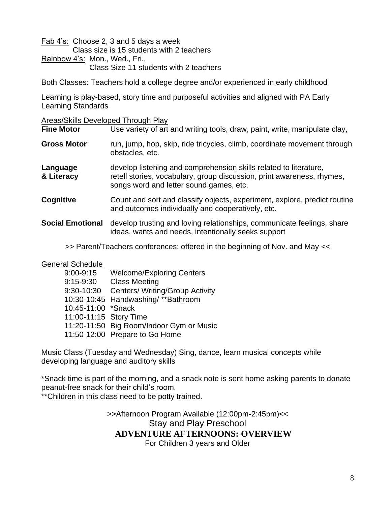Fab 4's: Choose 2, 3 and 5 days a week Class size is 15 students with 2 teachers Rainbow 4's: Mon., Wed., Fri., Class Size 11 students with 2 teachers

Both Classes: Teachers hold a college degree and/or experienced in early childhood

Learning is play-based, story time and purposeful activities and aligned with PA Early Learning Standards

Areas/Skills Developed Through Play

| <b>Fine Motor</b>       | Use variety of art and writing tools, draw, paint, write, manipulate clay,                                                                                                             |
|-------------------------|----------------------------------------------------------------------------------------------------------------------------------------------------------------------------------------|
| <b>Gross Motor</b>      | run, jump, hop, skip, ride tricycles, climb, coordinate movement through<br>obstacles, etc.                                                                                            |
| Language<br>& Literacy  | develop listening and comprehension skills related to literature,<br>retell stories, vocabulary, group discussion, print awareness, rhymes,<br>songs word and letter sound games, etc. |
| Cognitive               | Count and sort and classify objects, experiment, explore, predict routine<br>and outcomes individually and cooperatively, etc.                                                         |
| <b>Social Emotional</b> | develop trusting and loving relationships, communicate feelings, share<br>ideas, wants and needs, intentionally seeks support                                                          |

>> Parent/Teachers conferences: offered in the beginning of Nov. and May <<

General Schedule

| $9:00 - 9:15$          | <b>Welcome/Exploring Centers</b>         |
|------------------------|------------------------------------------|
| $9:15 - 9:30$          | <b>Class Meeting</b>                     |
| 9:30-10:30             | <b>Centers/ Writing/Group Activity</b>   |
|                        | 10:30-10:45 Handwashing/**Bathroom       |
| 10:45-11:00 *Snack     |                                          |
| 11:00-11:15 Story Time |                                          |
|                        | 11:20-11:50 Big Room/Indoor Gym or Music |
|                        | 11:50-12:00 Prepare to Go Home           |

Music Class (Tuesday and Wednesday) Sing, dance, learn musical concepts while developing language and auditory skills

\*Snack time is part of the morning, and a snack note is sent home asking parents to donate peanut-free snack for their child's room.

\*\*Children in this class need to be potty trained.

>>Afternoon Program Available (12:00pm-2:45pm)<< Stay and Play Preschool **ADVENTURE AFTERNOONS: OVERVIEW** For Children 3 years and Older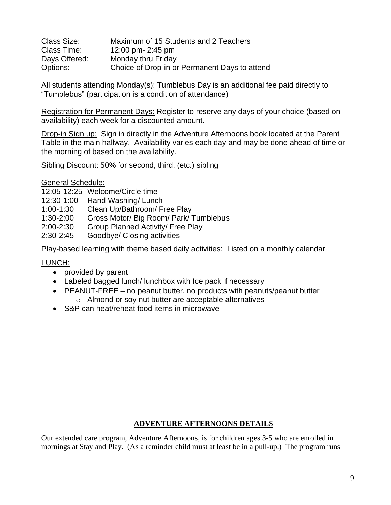| Class Size:   | Maximum of 15 Students and 2 Teachers         |
|---------------|-----------------------------------------------|
| Class Time:   | 12:00 pm- 2:45 pm                             |
| Days Offered: | Monday thru Friday                            |
| Options:      | Choice of Drop-in or Permanent Days to attend |

All students attending Monday(s): Tumblebus Day is an additional fee paid directly to "Tumblebus" (participation is a condition of attendance)

Registration for Permanent Days: Register to reserve any days of your choice (based on availability) each week for a discounted amount.

Drop-in Sign up: Sign in directly in the Adventure Afternoons book located at the Parent Table in the main hallway. Availability varies each day and may be done ahead of time or the morning of based on the availability.

Sibling Discount: 50% for second, third, (etc.) sibling

General Schedule:

12:05-12:25 Welcome/Circle time

- 12:30-1:00 Hand Washing/ Lunch
- 1:00-1:30 Clean Up/Bathroom/ Free Play
- 1:30-2:00 Gross Motor/ Big Room/ Park/ Tumblebus
- 2:00-2:30 Group Planned Activity/ Free Play
- 2:30-2:45 Goodbye/ Closing activities

Play-based learning with theme based daily activities: Listed on a monthly calendar

LUNCH:

- provided by parent
- Labeled bagged lunch/ lunchbox with Ice pack if necessary
- PEANUT-FREE no peanut butter, no products with peanuts/peanut butter
	- o Almond or soy nut butter are acceptable alternatives
- S&P can heat/reheat food items in microwave

#### **ADVENTURE AFTERNOONS DETAILS**

Our extended care program, Adventure Afternoons, is for children ages 3-5 who are enrolled in mornings at Stay and Play. (As a reminder child must at least be in a pull-up.) The program runs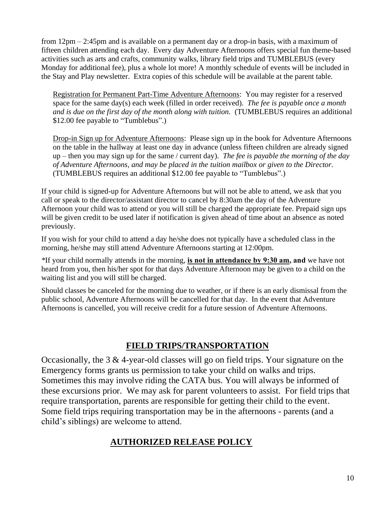from 12pm – 2:45pm and is available on a permanent day or a drop-in basis, with a maximum of fifteen children attending each day. Every day Adventure Afternoons offers special fun theme-based activities such as arts and crafts, community walks, library field trips and TUMBLEBUS (every Monday for additional fee), plus a whole lot more! A monthly schedule of events will be included in the Stay and Play newsletter. Extra copies of this schedule will be available at the parent table.

Registration for Permanent Part-Time Adventure Afternoons: You may register for a reserved space for the same day(s) each week (filled in order received). *The fee is payable once a month and is due on the first day of the month along with tuition.* (TUMBLEBUS requires an additional \$12.00 fee payable to "Tumblebus".)

Drop-in Sign up for Adventure Afternoons: Please sign up in the book for Adventure Afternoons on the table in the hallway at least one day in advance (unless fifteen children are already signed up – then you may sign up for the same / current day). *The fee is payable the morning of the day of Adventure Afternoons, and may be placed in the tuition mailbox or given to the Director.*  (TUMBLEBUS requires an additional \$12.00 fee payable to "Tumblebus".)

If your child is signed-up for Adventure Afternoons but will not be able to attend, we ask that you call or speak to the director/assistant director to cancel by 8:30am the day of the Adventure Afternoon your child was to attend or you will still be charged the appropriate fee. Prepaid sign ups will be given credit to be used later if notification is given ahead of time about an absence as noted previously.

If you wish for your child to attend a day he/she does not typically have a scheduled class in the morning, he/she may still attend Adventure Afternoons starting at 12:00pm.

*\**If your child normally attends in the morning, **is not in attendance by 9:30 am, and** we have not heard from you, then his/her spot for that days Adventure Afternoon may be given to a child on the waiting list and you will still be charged.

Should classes be canceled for the morning due to weather, or if there is an early dismissal from the public school, Adventure Afternoons will be cancelled for that day. In the event that Adventure Afternoons is cancelled, you will receive credit for a future session of Adventure Afternoons.

#### **FIELD TRIPS/TRANSPORTATION**

Occasionally, the 3 & 4-year-old classes will go on field trips. Your signature on the Emergency forms grants us permission to take your child on walks and trips. Sometimes this may involve riding the CATA bus. You will always be informed of these excursions prior. We may ask for parent volunteers to assist. For field trips that require transportation, parents are responsible for getting their child to the event. Some field trips requiring transportation may be in the afternoons - parents (and a child's siblings) are welcome to attend.

#### **AUTHORIZED RELEASE POLICY**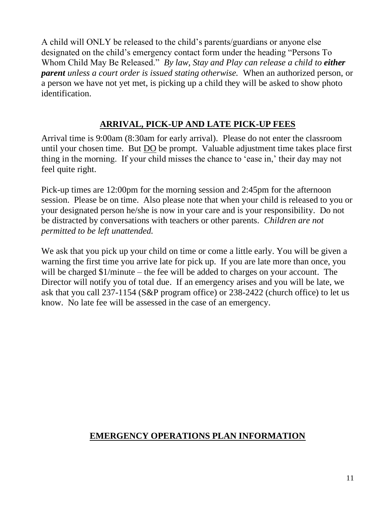A child will ONLY be released to the child's parents/guardians or anyone else designated on the child's emergency contact form under the heading "Persons To Whom Child May Be Released." *By law, Stay and Play can release a child to either parent unless a court order is issued stating otherwise.* When an authorized person, or a person we have not yet met, is picking up a child they will be asked to show photo identification.

## **ARRIVAL, PICK-UP AND LATE PICK-UP FEES**

Arrival time is 9:00am (8:30am for early arrival). Please do not enter the classroom until your chosen time. But DO be prompt. Valuable adjustment time takes place first thing in the morning. If your child misses the chance to 'ease in,' their day may not feel quite right.

Pick-up times are 12:00pm for the morning session and 2:45pm for the afternoon session. Please be on time. Also please note that when your child is released to you or your designated person he/she is now in your care and is your responsibility. Do not be distracted by conversations with teachers or other parents. *Children are not permitted to be left unattended.*

We ask that you pick up your child on time or come a little early. You will be given a warning the first time you arrive late for pick up. If you are late more than once, you will be charged \$1/minute – the fee will be added to charges on your account. The Director will notify you of total due. If an emergency arises and you will be late, we ask that you call 237-1154 (S&P program office) or 238-2422 (church office) to let us know. No late fee will be assessed in the case of an emergency.

## **EMERGENCY OPERATIONS PLAN INFORMATION**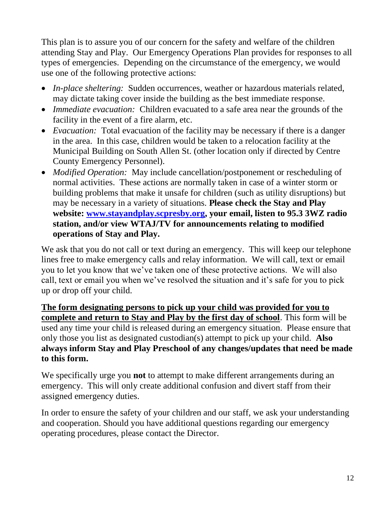This plan is to assure you of our concern for the safety and welfare of the children attending Stay and Play. Our Emergency Operations Plan provides for responses to all types of emergencies. Depending on the circumstance of the emergency, we would use one of the following protective actions:

- *In-place sheltering:* Sudden occurrences, weather or hazardous materials related, may dictate taking cover inside the building as the best immediate response.
- *Immediate evacuation:* Children evacuated to a safe area near the grounds of the facility in the event of a fire alarm, etc.
- *Evacuation:* Total evacuation of the facility may be necessary if there is a danger in the area. In this case, children would be taken to a relocation facility at the Municipal Building on South Allen St. (other location only if directed by Centre County Emergency Personnel).
- *Modified Operation:* May include cancellation/postponement or rescheduling of normal activities. These actions are normally taken in case of a winter storm or building problems that make it unsafe for children (such as utility disruptions) but may be necessary in a variety of situations. **Please check the Stay and Play website: [www.stayandplay.scpresby.org,](http://www.stayandplay.scpresby.org/) your email, listen to 95.3 3WZ radio station, and/or view WTAJ/TV for announcements relating to modified operations of Stay and Play.**

We ask that you do not call or text during an emergency. This will keep our telephone lines free to make emergency calls and relay information. We will call, text or email you to let you know that we've taken one of these protective actions. We will also call, text or email you when we've resolved the situation and it's safe for you to pick up or drop off your child.

**The form designating persons to pick up your child was provided for you to complete and return to Stay and Play by the first day of school**. This form will be used any time your child is released during an emergency situation. Please ensure that only those you list as designated custodian(s) attempt to pick up your child. **Also always inform Stay and Play Preschool of any changes/updates that need be made to this form.**

We specifically urge you **not** to attempt to make different arrangements during an emergency. This will only create additional confusion and divert staff from their assigned emergency duties.

In order to ensure the safety of your children and our staff, we ask your understanding and cooperation. Should you have additional questions regarding our emergency operating procedures, please contact the Director.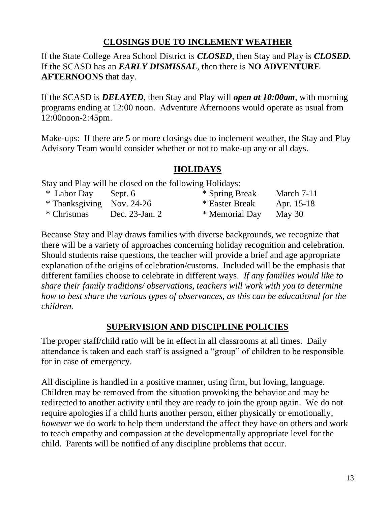## **CLOSINGS DUE TO INCLEMENT WEATHER**

If the State College Area School District is *CLOSED*, then Stay and Play is *CLOSED.* If the SCASD has an *EARLY DISMISSAL*, then there is **NO ADVENTURE AFTERNOONS** that day.

If the SCASD is *DELAYED*, then Stay and Play will *open at 10:00am*, with morning programs ending at 12:00 noon. Adventure Afternoons would operate as usual from 12:00noon-2:45pm.

Make-ups: If there are 5 or more closings due to inclement weather, the Stay and Play Advisory Team would consider whether or not to make-up any or all days.

## **HOLIDAYS**

Stay and Play will be closed on the following Holidays:

| * Labor Day               | Sept. 6        | * Spring Break | March 7-11 |
|---------------------------|----------------|----------------|------------|
| * Thanksgiving Nov. 24-26 |                | * Easter Break | Apr. 15-18 |
| * Christmas               | Dec. 23-Jan. 2 | * Memorial Day | May 30     |

Because Stay and Play draws families with diverse backgrounds, we recognize that there will be a variety of approaches concerning holiday recognition and celebration. Should students raise questions, the teacher will provide a brief and age appropriate explanation of the origins of celebration/customs. Included will be the emphasis that different families choose to celebrate in different ways. *If any families would like to share their family traditions/ observations, teachers will work with you to determine how to best share the various types of observances, as this can be educational for the children.*

## **SUPERVISION AND DISCIPLINE POLICIES**

The proper staff/child ratio will be in effect in all classrooms at all times. Daily attendance is taken and each staff is assigned a "group" of children to be responsible for in case of emergency.

All discipline is handled in a positive manner, using firm, but loving, language. Children may be removed from the situation provoking the behavior and may be redirected to another activity until they are ready to join the group again. We do not require apologies if a child hurts another person, either physically or emotionally, *however* we do work to help them understand the affect they have on others and work to teach empathy and compassion at the developmentally appropriate level for the child. Parents will be notified of any discipline problems that occur.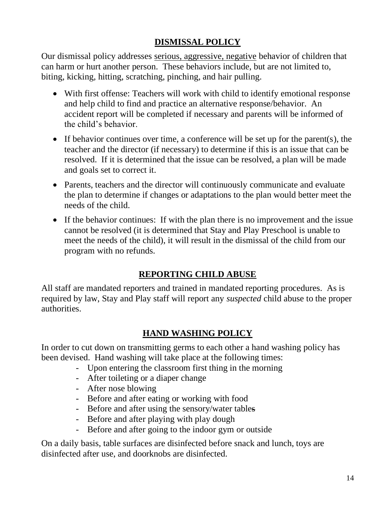## **DISMISSAL POLICY**

Our dismissal policy addresses serious, aggressive, negative behavior of children that can harm or hurt another person. These behaviors include, but are not limited to, biting, kicking, hitting, scratching, pinching, and hair pulling.

- With first offense: Teachers will work with child to identify emotional response and help child to find and practice an alternative response/behavior. An accident report will be completed if necessary and parents will be informed of the child's behavior.
- If behavior continues over time, a conference will be set up for the parent(s), the teacher and the director (if necessary) to determine if this is an issue that can be resolved. If it is determined that the issue can be resolved, a plan will be made and goals set to correct it.
- Parents, teachers and the director will continuously communicate and evaluate the plan to determine if changes or adaptations to the plan would better meet the needs of the child.
- If the behavior continues: If with the plan there is no improvement and the issue cannot be resolved (it is determined that Stay and Play Preschool is unable to meet the needs of the child), it will result in the dismissal of the child from our program with no refunds.

## **REPORTING CHILD ABUSE**

All staff are mandated reporters and trained in mandated reporting procedures. As is required by law, Stay and Play staff will report any *suspected* child abuse to the proper authorities.

## **HAND WASHING POLICY**

In order to cut down on transmitting germs to each other a hand washing policy has been devised. Hand washing will take place at the following times:

- Upon entering the classroom first thing in the morning
- After toileting or a diaper change
- After nose blowing
- Before and after eating or working with food
- Before and after using the sensory/water tables
- Before and after playing with play dough
- Before and after going to the indoor gym or outside

On a daily basis, table surfaces are disinfected before snack and lunch, toys are disinfected after use, and doorknobs are disinfected.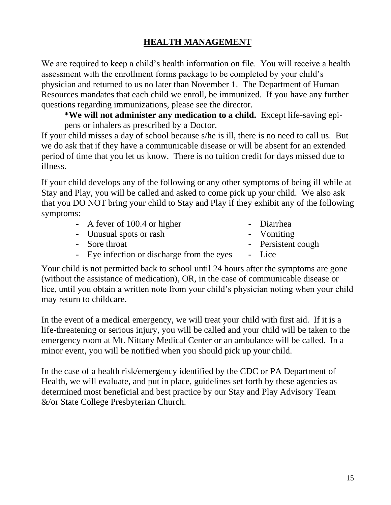## **HEALTH MANAGEMENT**

We are required to keep a child's health information on file. You will receive a health assessment with the enrollment forms package to be completed by your child's physician and returned to us no later than November 1. The Department of Human Resources mandates that each child we enroll, be immunized. If you have any further questions regarding immunizations, please see the director.

**\*We will not administer any medication to a child.** Except life-saving epipens or inhalers as prescribed by a Doctor.

If your child misses a day of school because s/he is ill, there is no need to call us. But we do ask that if they have a communicable disease or will be absent for an extended period of time that you let us know. There is no tuition credit for days missed due to illness.

If your child develops any of the following or any other symptoms of being ill while at Stay and Play, you will be called and asked to come pick up your child. We also ask that you DO NOT bring your child to Stay and Play if they exhibit any of the following symptoms:

| - A fever of $100.4$ or higher             | - Diarrhea         |
|--------------------------------------------|--------------------|
| - Unusual spots or rash                    | - Vomiting         |
| - Sore throat                              | - Persistent cough |
| - Eye infection or discharge from the eyes | - Lice             |

Your child is not permitted back to school until 24 hours after the symptoms are gone (without the assistance of medication), OR, in the case of communicable disease or lice, until you obtain a written note from your child's physician noting when your child may return to childcare.

In the event of a medical emergency, we will treat your child with first aid. If it is a life-threatening or serious injury, you will be called and your child will be taken to the emergency room at Mt. Nittany Medical Center or an ambulance will be called. In a minor event, you will be notified when you should pick up your child.

In the case of a health risk/emergency identified by the CDC or PA Department of Health, we will evaluate, and put in place, guidelines set forth by these agencies as determined most beneficial and best practice by our Stay and Play Advisory Team &/or State College Presbyterian Church.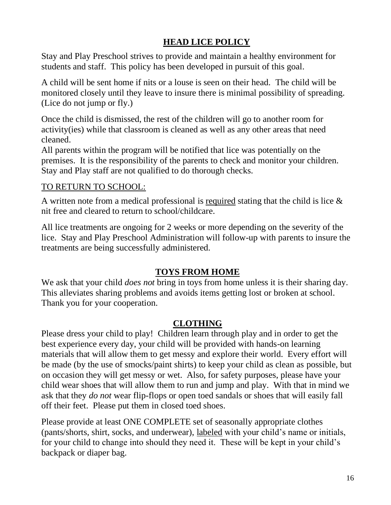## **HEAD LICE POLICY**

Stay and Play Preschool strives to provide and maintain a healthy environment for students and staff. This policy has been developed in pursuit of this goal.

A child will be sent home if nits or a louse is seen on their head. The child will be monitored closely until they leave to insure there is minimal possibility of spreading. (Lice do not jump or fly.)

Once the child is dismissed, the rest of the children will go to another room for activity(ies) while that classroom is cleaned as well as any other areas that need cleaned.

All parents within the program will be notified that lice was potentially on the premises. It is the responsibility of the parents to check and monitor your children. Stay and Play staff are not qualified to do thorough checks.

## TO RETURN TO SCHOOL:

A written note from a medical professional is required stating that the child is lice & nit free and cleared to return to school/childcare.

All lice treatments are ongoing for 2 weeks or more depending on the severity of the lice. Stay and Play Preschool Administration will follow-up with parents to insure the treatments are being successfully administered.

## **TOYS FROM HOME**

We ask that your child *does not* bring in toys from home unless it is their sharing day. This alleviates sharing problems and avoids items getting lost or broken at school. Thank you for your cooperation.

## **CLOTHING**

Please dress your child to play! Children learn through play and in order to get the best experience every day, your child will be provided with hands-on learning materials that will allow them to get messy and explore their world. Every effort will be made (by the use of smocks/paint shirts) to keep your child as clean as possible, but on occasion they will get messy or wet. Also, for safety purposes, please have your child wear shoes that will allow them to run and jump and play. With that in mind we ask that they *do not* wear flip-flops or open toed sandals or shoes that will easily fall off their feet. Please put them in closed toed shoes.

Please provide at least ONE COMPLETE set of seasonally appropriate clothes (pants/shorts, shirt, socks, and underwear), labeled with your child's name or initials, for your child to change into should they need it. These will be kept in your child's backpack or diaper bag.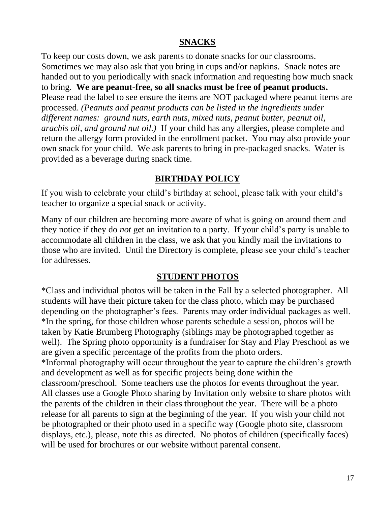#### **SNACKS**

To keep our costs down, we ask parents to donate snacks for our classrooms. Sometimes we may also ask that you bring in cups and/or napkins. Snack notes are handed out to you periodically with snack information and requesting how much snack to bring. **We are peanut-free, so all snacks must be free of peanut products.** Please read the label to see ensure the items are NOT packaged where peanut items are processed. *(Peanuts and peanut products can be listed in the ingredients under different names: ground nuts, earth nuts, mixed nuts, peanut butter, peanut oil, arachis oil, and ground nut oil.)* If your child has any allergies, please complete and return the allergy form provided in the enrollment packet. You may also provide your own snack for your child. We ask parents to bring in pre-packaged snacks. Water is provided as a beverage during snack time.

## **BIRTHDAY POLICY**

If you wish to celebrate your child's birthday at school, please talk with your child's teacher to organize a special snack or activity.

Many of our children are becoming more aware of what is going on around them and they notice if they do *not* get an invitation to a party. If your child's party is unable to accommodate all children in the class, we ask that you kindly mail the invitations to those who are invited. Until the Directory is complete, please see your child's teacher for addresses.

#### **STUDENT PHOTOS**

\*Class and individual photos will be taken in the Fall by a selected photographer. All students will have their picture taken for the class photo, which may be purchased depending on the photographer's fees. Parents may order individual packages as well. \*In the spring, for those children whose parents schedule a session, photos will be taken by Katie Brumberg Photography (siblings may be photographed together as well). The Spring photo opportunity is a fundraiser for Stay and Play Preschool as we are given a specific percentage of the profits from the photo orders. \*Informal photography will occur throughout the year to capture the children's growth and development as well as for specific projects being done within the classroom/preschool. Some teachers use the photos for events throughout the year. All classes use a Google Photo sharing by Invitation only website to share photos with the parents of the children in their class throughout the year. There will be a photo release for all parents to sign at the beginning of the year. If you wish your child not be photographed or their photo used in a specific way (Google photo site, classroom displays, etc.), please, note this as directed. No photos of children (specifically faces) will be used for brochures or our website without parental consent.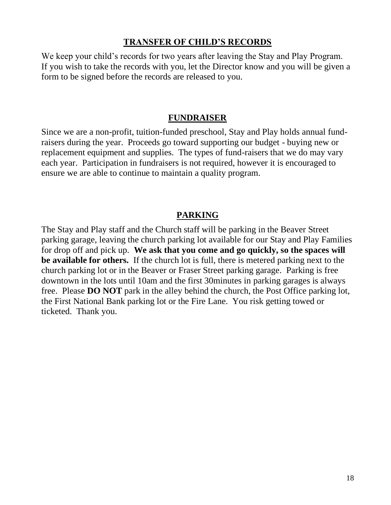#### **TRANSFER OF CHILD'S RECORDS**

We keep your child's records for two years after leaving the Stay and Play Program. If you wish to take the records with you, let the Director know and you will be given a form to be signed before the records are released to you.

#### **FUNDRAISER**

Since we are a non-profit, tuition-funded preschool, Stay and Play holds annual fundraisers during the year. Proceeds go toward supporting our budget - buying new or replacement equipment and supplies. The types of fund-raisers that we do may vary each year. Participation in fundraisers is not required, however it is encouraged to ensure we are able to continue to maintain a quality program.

## **PARKING**

The Stay and Play staff and the Church staff will be parking in the Beaver Street parking garage, leaving the church parking lot available for our Stay and Play Families for drop off and pick up. **We ask that you come and go quickly, so the spaces will be available for others.** If the church lot is full, there is metered parking next to the church parking lot or in the Beaver or Fraser Street parking garage. Parking is free downtown in the lots until 10am and the first 30minutes in parking garages is always free. Please **DO NOT** park in the alley behind the church, the Post Office parking lot, the First National Bank parking lot or the Fire Lane. You risk getting towed or ticketed. Thank you.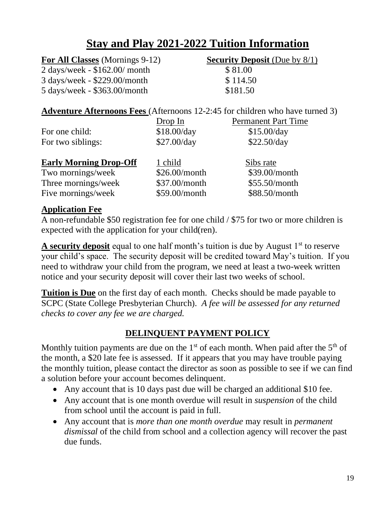## **Stay and Play 2021-2022 Tuition Information**

| <b>For All Classes</b> (Mornings 9-12)        | <b>Security Deposit</b> (Due by $8/1$ ) |
|-----------------------------------------------|-----------------------------------------|
| $2 \text{ days/week} - $162.00/$ month        | \$81.00                                 |
| 3 days/week - \$229.00/month                  | \$114.50                                |
| $5 \text{ days/week} - $363.00 \text{/month}$ | \$181.50                                |

#### **Adventure Afternoons Fees** (Afternoons 12-2:45 for children who have turned 3)

|                               | Drop In       | <b>Permanent Part Time</b> |
|-------------------------------|---------------|----------------------------|
| For one child:                | \$18.00/day   | \$15.00/day                |
| For two siblings:             | \$27.00/day   | \$22.50/day                |
| <b>Early Morning Drop-Off</b> | 1 child       | Sibs rate                  |
| Two mornings/week             | \$26.00/month | \$39.00/month              |
| Three mornings/week           | \$37.00/month | \$55.50/month              |
| Five mornings/week            | \$59.00/month | \$88.50/month              |

#### **Application Fee**

A non-refundable \$50 registration fee for one child / \$75 for two or more children is expected with the application for your child(ren).

**A security deposit** equal to one half month's tuition is due by August 1<sup>st</sup> to reserve your child's space. The security deposit will be credited toward May's tuition. If you need to withdraw your child from the program, we need at least a two-week written notice and your security deposit will cover their last two weeks of school.

**Tuition is Due** on the first day of each month. Checks should be made payable to SCPC (State College Presbyterian Church). *A fee will be assessed for any returned checks to cover any fee we are charged.*

## **DELINQUENT PAYMENT POLICY**

Monthly tuition payments are due on the  $1<sup>st</sup>$  of each month. When paid after the  $5<sup>th</sup>$  of the month, a \$20 late fee is assessed. If it appears that you may have trouble paying the monthly tuition, please contact the director as soon as possible to see if we can find a solution before your account becomes delinquent.

- Any account that is 10 days past due will be charged an additional \$10 fee.
- Any account that is one month overdue will result in *suspension* of the child from school until the account is paid in full.
- Any account that is *more than one month overdue* may result in *permanent dismissal* of the child from school and a collection agency will recover the past due funds.